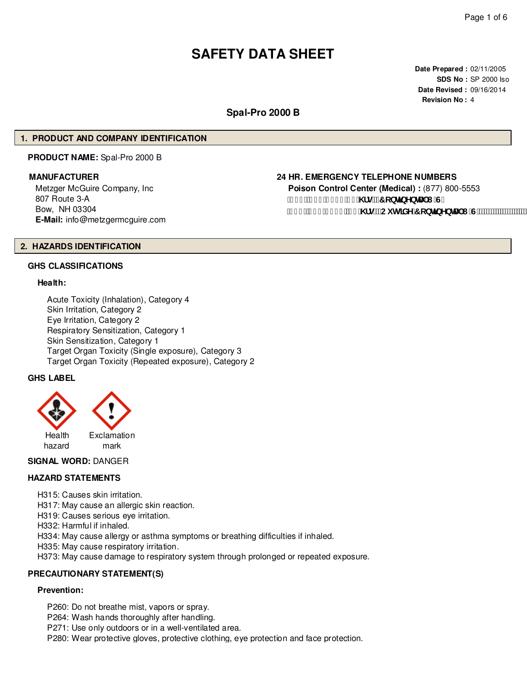# **SAFETY DATA SHEET**

**Date Prepared :** 02/11/2005 **SDS No :** SP 2000 Iso **Date Revised :** 09/16/2014 **Revision No :** 4

# **Spal-Pro 2000 B**

# **1. PRODUCT AND COMPANY IDENTIFICATION**

**PRODUCT NAME:** Spal-Pro 2000 B

Metzger McGuire Company, Inc 807 Route 3-A Bow, NH 03304 **E-Mail:** info@metzgermcguire.com

#### **MANUFACTURER 24 HR. EMERGENCY TELEPHONE NUMBERS**

**Poison Control Center (Medical) :** (877) 800-5553 f(\$\$Ł&))!' - & & \fq"f**F** cbHbYbHJ | 'G" f| % L&(, !\$), ) "&( \fg"fCi lg]XY'7 cbljbYbHJ'l "G'L"

# **2. HAZARDS IDENTIFICATION**

# **GHS CLASSIFICATIONS**

#### **Health:**

Acute Toxicity (Inhalation), Category 4 Skin Irritation, Category 2 Eye Irritation, Category 2 Respiratory Sensitization, Category 1 Skin Sensitization, Category 1 Target Organ Toxicity (Single exposure), Category 3 Target Organ Toxicity (Repeated exposure), Category 2

# **GHS LABEL**



# **SIGNAL WORD:** DANGER

# **HAZARD STATEMENTS**

H315: Causes skin irritation.

H317: May cause an allergic skin reaction.

H319: Causes serious eye irritation.

H332: Harmful if inhaled.

H334: May cause allergy or asthma symptoms or breathing difficulties if inhaled.

H335: May cause respiratory irritation.

H373: May cause damage to respiratory system through prolonged or repeated exposure.

#### **PRECAUTIONARY STATEMENT(S)**

# **Prevention:**

P260: Do not breathe mist, vapors or spray. P264: Wash hands thoroughly after handling.

P271: Use only outdoors or in a well-ventilated area.

P280: Wear protective gloves, protective clothing, eye protection and face protection.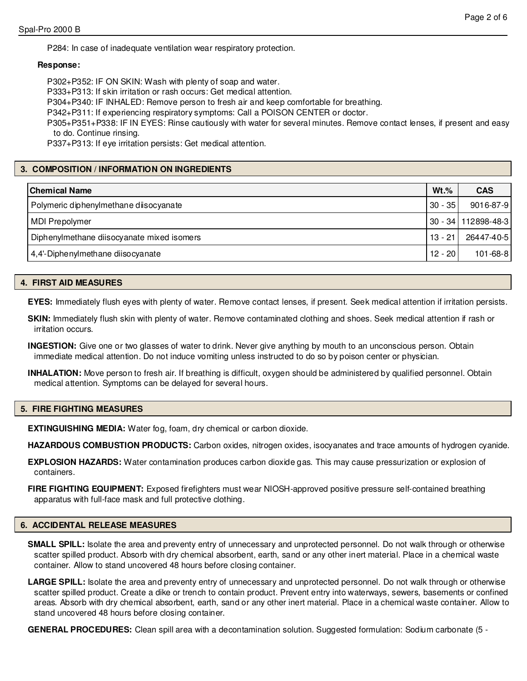P284: In case of inadequate ventilation wear respiratory protection.

# **Response:**

P302+P352: IF ON SKIN: Wash with plenty of soap and water.

P333+P313: If skin irritation or rash occurs: Get medical attention.

P304+P340: IF INHALED: Remove person to fresh air and keep comfortable for breathing.

P342+P311: If experiencing respiratory symptoms: Call a POISON CENTER or doctor.

P305+P351+P338: IF IN EYES: Rinse cautiously with water for several minutes. Remove contact lenses, if present and easy to do. Continue rinsing.

P337+P313: If eye irritation persists: Get medical attention.

# **3. COMPOSITION / INFORMATION ON INGREDIENTS**

| Chemical Name                                           |           | <b>CAS</b>                  |
|---------------------------------------------------------|-----------|-----------------------------|
| Polymeric diphenylmethane diisocyanate                  | $30 - 35$ | 9016-87-9                   |
| MDI Prepolymer                                          |           | 30 - 34   112898-48-3       |
| $13 - 21$<br>Diphenylmethane diisocyanate mixed isomers |           | 26447-40-5                  |
| 4,4'-Diphenylmethane diisocyanate                       |           | $101 - 68 - 8$<br>12 - 20 l |

# **4. FIRST AID MEASURES**

**EYES:** Immediately flush eyes with plenty of water. Remove contact lenses, if present. Seek medical attention if irritation persists.

**SKIN:** Immediately flush skin with plenty of water. Remove contaminated clothing and shoes. Seek medical attention if rash or irritation occurs.

**INGESTION:** Give one or two glasses of water to drink. Never give anything by mouth to an unconscious person. Obtain immediate medical attention. Do not induce vomiting unless instructed to do so by poison center or physician.

**INHALATION:** Move person to fresh air. If breathing is difficult, oxygen should be administered by qualified personnel. Obtain medical attention. Symptoms can be delayed for several hours.

# **5. FIRE FIGHTING MEASURES**

**EXTINGUISHING MEDIA:** Water fog, foam, dry chemical or carbon dioxide.

**HAZARDOUS COMBUSTION PRODUCTS:** Carbon oxides, nitrogen oxides, isocyanates and trace amounts of hydrogen cyanide.

**EXPLOSION HAZARDS:** Water contamination produces carbon dioxide gas. This may cause pressurization or explosion of containers.

**FIRE FIGHTING EQUIPMENT:** Exposed firefighters must wear NIOSH-approved positive pressure self-contained breathing apparatus with full-face mask and full protective clothing.

# **6. ACCIDENTAL RELEASE MEASURES**

- **SMALL SPILL:** Isolate the area and preventy entry of unnecessary and unprotected personnel. Do not walk through or otherwise scatter spilled product. Absorb with dry chemical absorbent, earth, sand or any other inert material. Place in a chemical waste container. Allow to stand uncovered 48 hours before closing container.
- LARGE SPILL: Isolate the area and preventy entry of unnecessary and unprotected personnel. Do not walk through or otherwise scatter spilled product. Create a dike or trench to contain product. Prevent entry into waterways, sewers, basements or confined areas. Absorb with dry chemical absorbent, earth, sand or any other inert material. Place in a chemical waste container. Allow to stand uncovered 48 hours before closing container.

**GENERAL PROCEDURES:** Clean spill area with a decontamination solution. Suggested formulation: Sodium carbonate (5 -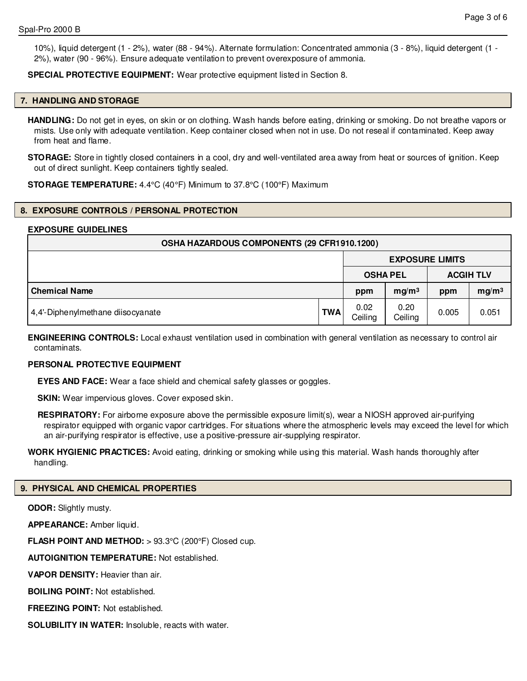10%), liquid detergent (1 - 2%), water (88 - 94%). Alternate formulation: Concentrated ammonia (3 - 8%), liquid detergent (1 - 2%), water (90 - 96%). Ensure adequate ventilation to prevent overexposure of ammonia.

**SPECIAL PROTECTIVE EQUIPMENT:** Wear protective equipment listed in Section 8.

# **7. HANDLING AND STORAGE**

**HANDLING:** Do not get in eyes, on skin or on clothing. Wash hands before eating, drinking or smoking. Do not breathe vapors or mists. Use only with adequate ventilation. Keep container closed when not in use. Do not reseal if contaminated. Keep away from heat and flame.

**STORAGE:** Store in tightly closed containers in a cool, dry and well-ventilated area away from heat or sources of ignition. Keep out of direct sunlight. Keep containers tightly sealed.

**STORAGE TEMPERATURE:** 4.4°C (40°F) Minimum to 37.8°C (100°F) Maximum

# **8. EXPOSURE CONTROLS / PERSONAL PROTECTION**

# **EXPOSURE GUIDELINES**

| OSHA HAZARDOUS COMPONENTS (29 CFR1910.1200) |     |                        |                   |                  |                   |
|---------------------------------------------|-----|------------------------|-------------------|------------------|-------------------|
|                                             |     | <b>EXPOSURE LIMITS</b> |                   |                  |                   |
|                                             |     | <b>OSHA PEL</b>        |                   | <b>ACGIH TLV</b> |                   |
| <b>Chemical Name</b>                        |     | ppm                    | mg/m <sup>3</sup> | ppm              | mg/m <sup>3</sup> |
| 4,4'-Diphenylmethane diisocyanate           | TWA | 0.02<br>Ceiling        | 0.20<br>Ceiling   | 0.005            | 0.051             |

**ENGINEERING CONTROLS:** Local exhaust ventilation used in combination with general ventilation as necessary to control air contaminats.

# **PERSONAL PROTECTIVE EQUIPMENT**

**EYES AND FACE:** Wear a face shield and chemical safety glasses or goggles.

**SKIN:** Wear impervious gloves. Cover exposed skin.

**RESPIRATORY:** For airborne exposure above the permissible exposure limit(s), wear a NIOSH approved air-purifying respirator equipped with organic vapor cartridges. For situations where the atmospheric levels may exceed the level for which an air-purifying respirator is effective, use a positive-pressure air-supplying respirator.

**WORK HYGIENIC PRACTICES:** Avoid eating, drinking or smoking while using this material. Wash hands thoroughly after handling.

#### **9. PHYSICAL AND CHEMICAL PROPERTIES**

**ODOR:** Slightly musty.

**APPEARANCE:** Amber liquid.

**FLASH POINT AND METHOD:** > 93.3°C (200°F) Closed cup.

**AUTOIGNITION TEMPERATURE:** Not established.

**VAPOR DENSITY:** Heavier than air.

**BOILING POINT:** Not established.

**FREEZING POINT:** Not established.

**SOLUBILITY IN WATER:** Insoluble, reacts with water.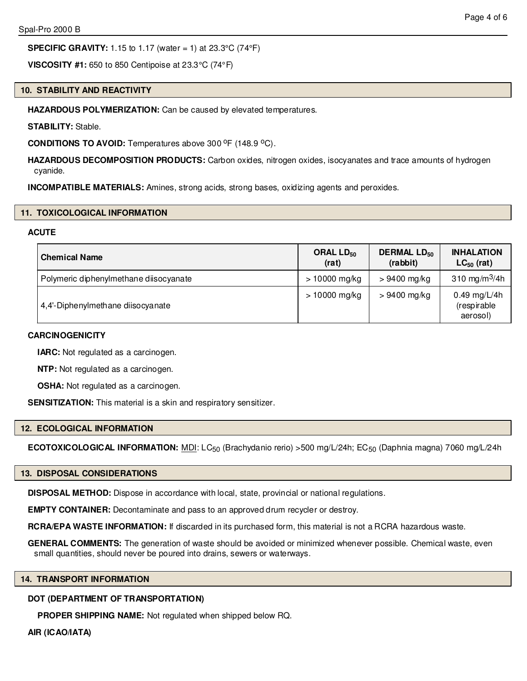# **SPECIFIC GRAVITY:** 1.15 to 1.17 (water = 1) at 23.3°C (74°F)

**VISCOSITY #1:** 650 to 850 Centipoise at 23.3°C (74°F)

# **10. STABILITY AND REACTIVITY**

**HAZARDOUS POLYMERIZATION:** Can be caused by elevated temperatures.

**STABILITY:** Stable.

**CONDITIONS TO AVOID:** Temperatures above 300 °F (148.9 °C).

**HAZARDOUS DECOMPOSITION PRODUCTS:** Carbon oxides, nitrogen oxides, isocyanates and trace amounts of hydrogen cyanide.

**INCOMPATIBLE MATERIALS:** Amines, strong acids, strong bases, oxidizing agents and peroxides.

# **11. TOXICOLOGICAL INFORMATION**

# **ACUTE**

| <b>Chemical Name</b>                   | ORAL LD <sub>50</sub><br>(rat) | <b>DERMAL LD<sub>50</sub></b><br>(rabbit) | <b>INHALATION</b><br>$LC_{50}$ (rat)    |
|----------------------------------------|--------------------------------|-------------------------------------------|-----------------------------------------|
| Polymeric diphenylmethane diisocyanate | $> 10000$ mg/kg                | $>9400$ mg/kg                             | 310 mg/m <sup>3</sup> /4h               |
| 4,4'-Diphenylmethane diisocyanate      | $> 10000$ mg/kg                | $>9400$ mg/kg                             | 0.49 mg/L/4h<br>(respirable<br>aerosol) |

# **CARCINOGENICITY**

**IARC:** Not regulated as a carcinogen.

**NTP:** Not regulated as a carcinogen.

**OSHA:** Not regulated as a carcinogen.

**SENSITIZATION:** This material is a skin and respiratory sensitizer.

# **12. ECOLOGICAL INFORMATION**

**ECOTOXICOLOGICAL INFORMATION:** MDI: LC<sub>50</sub> (Brachydanio rerio) >500 mg/L/24h; EC<sub>50</sub> (Daphnia magna) 7060 mg/L/24h

# **13. DISPOSAL CONSIDERATIONS**

**DISPOSAL METHOD:** Dispose in accordance with local, state, provincial or national regulations.

**EMPTY CONTAINER:** Decontaminate and pass to an approved drum recycler or destroy.

**RCRA/EPA WASTE INFORMATION:** If discarded in its purchased form, this material is not a RCRA hazardous waste.

**GENERAL COMMENTS:** The generation of waste should be avoided or minimized whenever possible. Chemical waste, even small quantities, should never be poured into drains, sewers or waterways.

# **14. TRANSPORT INFORMATION**

# **DOT (DEPARTMENT OF TRANSPORTATION)**

**PROPER SHIPPING NAME:** Not regulated when shipped below RQ.

**AIR (ICAO/IATA)**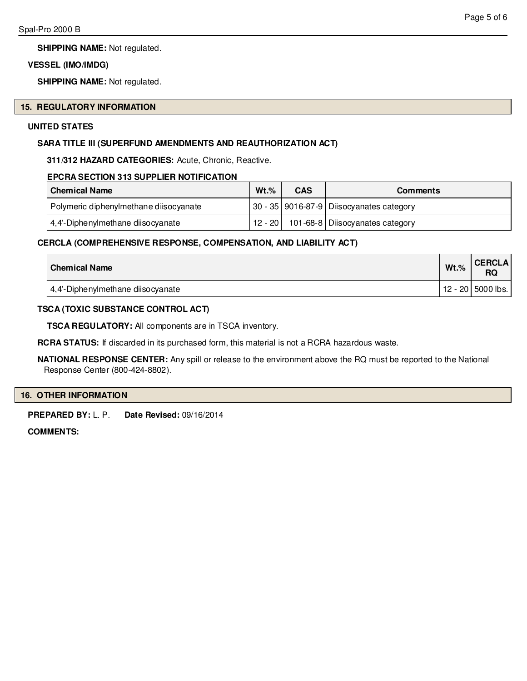**SHIPPING NAME:** Not regulated.

# **VESSEL (IMO/IMDG)**

**SHIPPING NAME:** Not regulated.

#### **15. REGULATORY INFORMATION**

# **UNITED STATES**

# **SARA TITLE III (SUPERFUND AMENDMENTS AND REAUTHORIZATION ACT)**

**311/312 HAZARD CATEGORIES:** Acute, Chronic, Reactive.

# **EPCRA SECTION 313 SUPPLIER NOTIFICATION**

| l Chemical Name                        | $Wt.\%$ | CAS | <b>Comments</b>                                         |
|----------------------------------------|---------|-----|---------------------------------------------------------|
| Polymeric diphenylmethane diisocyanate |         |     | 30 - 35   901 6-87 - 9   Diisocyanates category         |
| 4,4'-Diphenylmethane diisocyanate      |         |     | $\vert$ 12 - 20 $\vert$ 101-68-8 Diisocyanates category |

# **CERCLA (COMPREHENSIVE RESPONSE, COMPENSATION, AND LIABILITY ACT)**

| <b>Chemical Name</b>              | $Wt.$ % | <b>CERCLA</b><br>RQ |
|-----------------------------------|---------|---------------------|
| 4,4'-Diphenylmethane diisocyanate |         | $12 - 20$ 5000 lbs. |

# **TSCA (TOXIC SUBSTANCE CONTROL ACT)**

**TSCA REGULATORY:** All components are in TSCA inventory.

**RCRA STATUS:** If discarded in its purchased form, this material is not a RCRA hazardous waste.

**NATIONAL RESPONSE CENTER:** Any spill or release to the environment above the RQ must be reported to the National Response Center (800-424-8802).

# **16. OTHER INFORMATION**

**PREPARED BY:** L. P. **Date Revised:** 09/16/2014

**COMMENTS:**